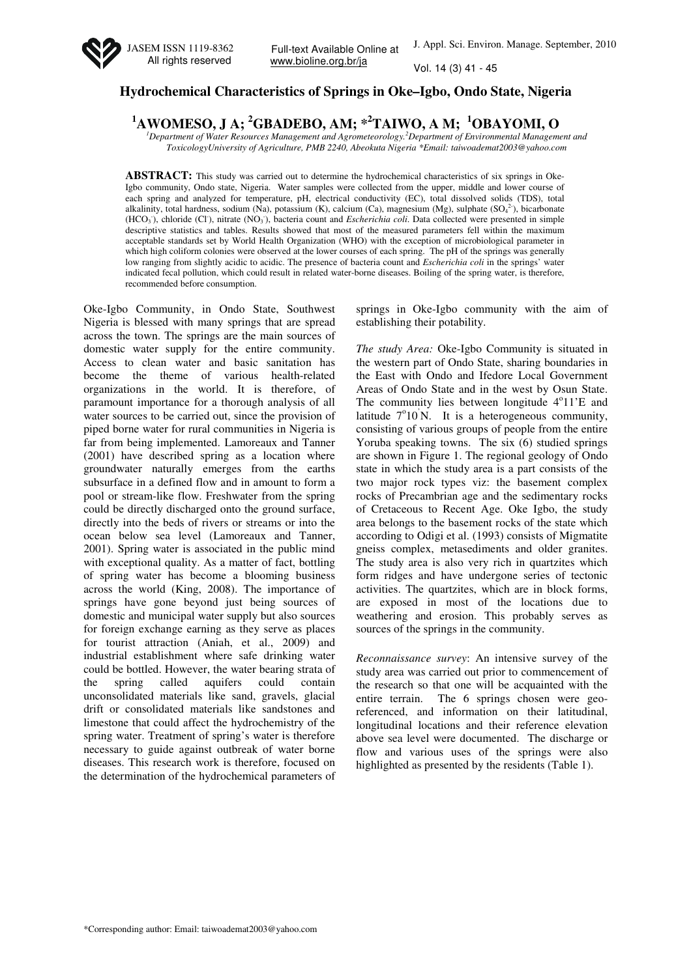

Full-text Available Online at www.bioline.org.br/ja

Vol. 14 (3) 41 - 45

## **Hydrochemical Characteristics of Springs in Oke–Igbo, Ondo State, Nigeria**

**<sup>1</sup>AWOMESO, J A; <sup>2</sup>GBADEBO, AM; \*<sup>2</sup>TAIWO, A M; <sup>1</sup>OBAYOMI, O** 

*<sup>1</sup>Department of Water Resources Management and Agrometeorology.<sup>2</sup>Department of Environmental Management and ToxicologyUniversity of Agriculture, PMB 2240, Abeokuta Nigeria \*Email: taiwoademat2003@yahoo.com* 

**ABSTRACT:** This study was carried out to determine the hydrochemical characteristics of six springs in Oke-Igbo community, Ondo state, Nigeria. Water samples were collected from the upper, middle and lower course of each spring and analyzed for temperature, pH, electrical conductivity (EC), total dissolved solids (TDS), total alkalinity, total hardness, sodium (Na), potassium (K), calcium (Ca), magnesium (Mg), sulphate  $(SO<sub>4</sub><sup>2</sup>)$ , bicarbonate (HCO<sub>3</sub><sup>)</sup>, chloride (Cl<sup>-</sup>), nitrate (NO<sub>3</sub><sup>\*</sup>), bacteria count and *Escherichia coli*. Data collected were presented in simple descriptive statistics and tables. Results showed that most of the measured parameters fell within the maximum acceptable standards set by World Health Organization (WHO) with the exception of microbiological parameter in which high coliform colonies were observed at the lower courses of each spring. The pH of the springs was generally low ranging from slightly acidic to acidic. The presence of bacteria count and *Escherichia coli* in the springs' water indicated fecal pollution, which could result in related water-borne diseases. Boiling of the spring water, is therefore, recommended before consumption.

Oke-Igbo Community, in Ondo State, Southwest Nigeria is blessed with many springs that are spread across the town. The springs are the main sources of domestic water supply for the entire community. Access to clean water and basic sanitation has become the theme of various health-related organizations in the world. It is therefore, of paramount importance for a thorough analysis of all water sources to be carried out, since the provision of piped borne water for rural communities in Nigeria is far from being implemented. Lamoreaux and Tanner (2001) have described spring as a location where groundwater naturally emerges from the earths subsurface in a defined flow and in amount to form a pool or stream-like flow. Freshwater from the spring could be directly discharged onto the ground surface, directly into the beds of rivers or streams or into the ocean below sea level (Lamoreaux and Tanner, 2001). Spring water is associated in the public mind with exceptional quality. As a matter of fact, bottling of spring water has become a blooming business across the world (King, 2008). The importance of springs have gone beyond just being sources of domestic and municipal water supply but also sources for foreign exchange earning as they serve as places for tourist attraction (Aniah, et al., 2009) and industrial establishment where safe drinking water could be bottled. However, the water bearing strata of the spring called aquifers could contain unconsolidated materials like sand, gravels, glacial drift or consolidated materials like sandstones and limestone that could affect the hydrochemistry of the spring water. Treatment of spring's water is therefore necessary to guide against outbreak of water borne diseases. This research work is therefore, focused on the determination of the hydrochemical parameters of

springs in Oke-Igbo community with the aim of establishing their potability.

*The study Area:* Oke-Igbo Community is situated in the western part of Ondo State, sharing boundaries in the East with Ondo and Ifedore Local Government Areas of Ondo State and in the west by Osun State. The community lies between longitude 4°11'E and latitude  $7^{\circ}10^{\prime}$ N. It is a heterogeneous community, consisting of various groups of people from the entire Yoruba speaking towns. The six (6) studied springs are shown in Figure 1. The regional geology of Ondo state in which the study area is a part consists of the two major rock types viz: the basement complex rocks of Precambrian age and the sedimentary rocks of Cretaceous to Recent Age. Oke Igbo, the study area belongs to the basement rocks of the state which according to Odigi et al. (1993) consists of Migmatite gneiss complex, metasediments and older granites. The study area is also very rich in quartzites which form ridges and have undergone series of tectonic activities. The quartzites, which are in block forms, are exposed in most of the locations due to weathering and erosion. This probably serves as sources of the springs in the community.

*Reconnaissance survey*: An intensive survey of the study area was carried out prior to commencement of the research so that one will be acquainted with the entire terrain. The 6 springs chosen were georeferenced, and information on their latitudinal, longitudinal locations and their reference elevation above sea level were documented. The discharge or flow and various uses of the springs were also highlighted as presented by the residents (Table 1).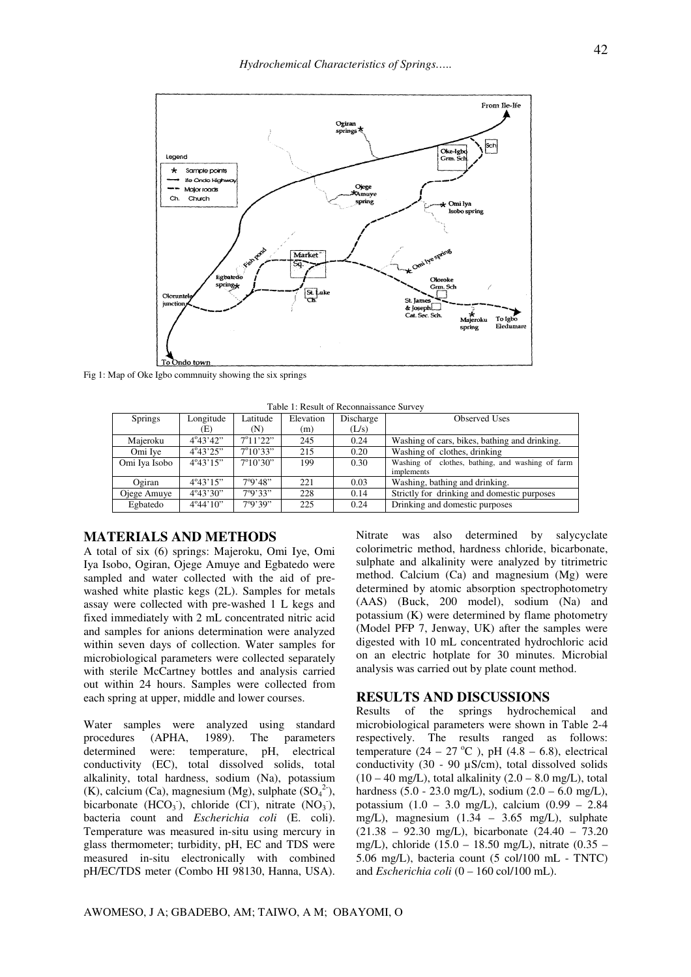

Fig 1: Map of Oke Igbo commnuity showing the six springs

| Table 1. Result of Recommaissance Suivey |                    |                   |           |           |                                                  |  |  |  |
|------------------------------------------|--------------------|-------------------|-----------|-----------|--------------------------------------------------|--|--|--|
| <b>Springs</b>                           | Longitude          | Latitude          | Elevation | Discharge | <b>Observed Uses</b>                             |  |  |  |
|                                          | (E)                | (N)               | (m)       | (L/s)     |                                                  |  |  |  |
| Maieroku                                 | $4^{\circ}43'42"$  | $7^{\circ}11'22"$ | 245       | 0.24      | Washing of cars, bikes, bathing and drinking.    |  |  |  |
| Omi Iye                                  | $4^{\circ}43'25"$  | $7^{\circ}10'33"$ | 215       | 0.20      | Washing of clothes, drinking                     |  |  |  |
| Omi Iya Isobo                            | $4^{\circ}43'15"$  | $7^{\circ}10'30"$ | 199       | 0.30      | Washing of clothes, bathing, and washing of farm |  |  |  |
|                                          |                    |                   |           |           | implements                                       |  |  |  |
| Ogiran                                   | $4^{\circ}43'15"$  | 7°9'48"           | 221       | 0.03      | Washing, bathing and drinking.                   |  |  |  |
| Ojege Amuye                              | $4^{\circ}43'30"$  | 7°9'33"           | 228       | 0.14      | Strictly for drinking and domestic purposes      |  |  |  |
| Egbatedo                                 | $4^{\circ}44'10''$ | 7°9'39"           | 225       | 0.24      | Drinking and domestic purposes                   |  |  |  |

 $T<sub>ab</sub>1<sub>c</sub>1$ :  $D<sub>con</sub>1<sub>t</sub>$  of  $D<sub>con</sub>$  propositions of

## **MATERIALS AND METHODS**

A total of six (6) springs: Majeroku, Omi Iye, Omi Iya Isobo, Ogiran, Ojege Amuye and Egbatedo were sampled and water collected with the aid of prewashed white plastic kegs (2L). Samples for metals assay were collected with pre-washed 1 L kegs and fixed immediately with 2 mL concentrated nitric acid and samples for anions determination were analyzed within seven days of collection. Water samples for microbiological parameters were collected separately with sterile McCartney bottles and analysis carried out within 24 hours. Samples were collected from each spring at upper, middle and lower courses.

Water samples were analyzed using standard procedures (APHA, 1989). The parameters determined were: temperature, pH, electrical conductivity (EC), total dissolved solids, total alkalinity, total hardness, sodium (Na), potassium (K), calcium (Ca), magnesium (Mg), sulphate  $(SO<sub>4</sub><sup>2</sup>)$ , bicarbonate  $(HCO<sub>3</sub>)$ , chloride (Cl), nitrate  $(NO<sub>3</sub>)$ , bacteria count and *Escherichia coli* (E. coli). Temperature was measured in-situ using mercury in glass thermometer; turbidity, pH, EC and TDS were measured in-situ electronically with combined pH/EC/TDS meter (Combo HI 98130, Hanna, USA).

Nitrate was also determined by salycyclate colorimetric method, hardness chloride, bicarbonate, sulphate and alkalinity were analyzed by titrimetric method. Calcium (Ca) and magnesium (Mg) were determined by atomic absorption spectrophotometry (AAS) (Buck, 200 model), sodium (Na) and potassium (K) were determined by flame photometry (Model PFP 7, Jenway, UK) after the samples were digested with 10 mL concentrated hydrochloric acid on an electric hotplate for 30 minutes. Microbial analysis was carried out by plate count method.

## **RESULTS AND DISCUSSIONS**

Results of the springs hydrochemical and microbiological parameters were shown in Table 2-4 respectively. The results ranged as follows: temperature  $(24 - 27 \degree C)$ , pH  $(4.8 - 6.8)$ , electrical conductivity (30 - 90 µS/cm), total dissolved solids  $(10 - 40 \text{ mg/L})$ , total alkalinity  $(2.0 - 8.0 \text{ mg/L})$ , total hardness  $(5.0 - 23.0 \text{ mg/L})$ , sodium  $(2.0 - 6.0 \text{ mg/L})$ , potassium (1.0 – 3.0 mg/L), calcium (0.99 – 2.84 mg/L), magnesium (1.34 – 3.65 mg/L), sulphate (21.38 – 92.30 mg/L), bicarbonate (24.40 – 73.20 mg/L), chloride (15.0 – 18.50 mg/L), nitrate (0.35 – 5.06 mg/L), bacteria count (5 col/100 mL - TNTC) and *Escherichia coli* (0 – 160 col/100 mL).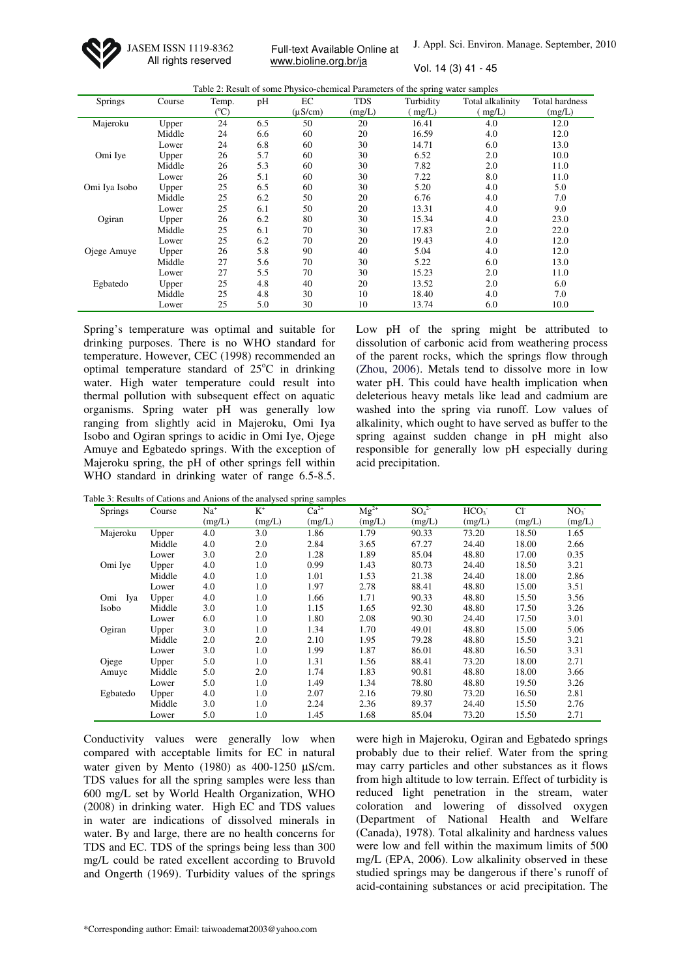JASEM ISSN 1119-8362 All rights reserved

Full-text Available Online at www.bioline.org.br/ja

J. Appl. Sci. Environ. Manage. September, 2010

Vol. 14 (3) 41 - 45

|               |        |                 |     |              |            | Table 2: Result of some Physico-chemical Parameters of the spring water samples |                  |                |
|---------------|--------|-----------------|-----|--------------|------------|---------------------------------------------------------------------------------|------------------|----------------|
| Springs       | Course | Temp.           | pH  | EC           | <b>TDS</b> | Turbidity                                                                       | Total alkalinity | Total hardness |
|               |        | $({}^{\circ}C)$ |     | $(\mu S/cm)$ | (mg/L)     | (mg/L)                                                                          | mg/L)            | (mg/L)         |
| Majeroku      | Upper  | 24              | 6.5 | 50           | 20         | 16.41                                                                           | 4.0              | 12.0           |
|               | Middle | 24              | 6.6 | 60           | 20         | 16.59                                                                           | 4.0              | 12.0           |
|               | Lower  | 24              | 6.8 | 60           | 30         | 14.71                                                                           | 6.0              | 13.0           |
| Omi Ive       | Upper  | 26              | 5.7 | 60           | 30         | 6.52                                                                            | 2.0              | 10.0           |
|               | Middle | 26              | 5.3 | 60           | 30         | 7.82                                                                            | 2.0              | 11.0           |
|               | Lower  | 26              | 5.1 | 60           | 30         | 7.22                                                                            | 8.0              | 11.0           |
| Omi Iya Isobo | Upper  | 25              | 6.5 | 60           | 30         | 5.20                                                                            | 4.0              | 5.0            |
|               | Middle | 25              | 6.2 | 50           | 20         | 6.76                                                                            | 4.0              | 7.0            |
|               | Lower  | 25              | 6.1 | 50           | 20         | 13.31                                                                           | 4.0              | 9.0            |
| Ogiran        | Upper  | 26              | 6.2 | 80           | 30         | 15.34                                                                           | 4.0              | 23.0           |
|               | Middle | 25              | 6.1 | 70           | 30         | 17.83                                                                           | 2.0              | 22.0           |
|               | Lower  | 25              | 6.2 | 70           | 20         | 19.43                                                                           | 4.0              | 12.0           |
| Ojege Amuye   | Upper  | 26              | 5.8 | 90           | 40         | 5.04                                                                            | 4.0              | 12.0           |
|               | Middle | 27              | 5.6 | 70           | 30         | 5.22                                                                            | 6.0              | 13.0           |
|               | Lower  | 27              | 5.5 | 70           | 30         | 15.23                                                                           | 2.0              | 11.0           |
| Egbatedo      | Upper  | 25              | 4.8 | 40           | 20         | 13.52                                                                           | 2.0              | 6.0            |
|               | Middle | 25              | 4.8 | 30           | 10         | 18.40                                                                           | 4.0              | 7.0            |
|               | Lower  | 25              | 5.0 | 30           | 10         | 13.74                                                                           | 6.0              | 10.0           |

Spring's temperature was optimal and suitable for drinking purposes. There is no WHO standard for temperature. However, CEC (1998) recommended an optimal temperature standard of  $25^{\circ}$ C in drinking water. High water temperature could result into thermal pollution with subsequent effect on aquatic organisms. Spring water pH was generally low ranging from slightly acid in Majeroku, Omi Iya Isobo and Ogiran springs to acidic in Omi Iye, Ojege Amuye and Egbatedo springs. With the exception of Majeroku spring, the pH of other springs fell within WHO standard in drinking water of range 6.5-8.5.

Low pH of the spring might be attributed to dissolution of carbonic acid from weathering process of the parent rocks, which the springs flow through (Zhou, 2006). Metals tend to dissolve more in low water pH. This could have health implication when deleterious heavy metals like lead and cadmium are washed into the spring via runoff. Low values of alkalinity, which ought to have served as buffer to the spring against sudden change in pH might also responsible for generally low pH especially during acid precipitation.

|          |        |        |        | Table 3: Results of Cations and Anions of the analysed spring samples |           |                              |                  |        |                 |
|----------|--------|--------|--------|-----------------------------------------------------------------------|-----------|------------------------------|------------------|--------|-----------------|
| Springs  | Course | $Na+$  | $K^+$  | $Ca^{2+}$                                                             | $Mg^{2+}$ | SO <sub>4</sub> <sup>2</sup> | HCO <sub>3</sub> | $Cl-$  | NO <sub>3</sub> |
|          |        | (mg/L) | (mg/L) | (mg/L)                                                                | (mg/L)    | (mg/L)                       | (mg/L)           | (mg/L) | (mg/L)          |
| Majeroku | Upper  | 4.0    | 3.0    | 1.86                                                                  | 1.79      | 90.33                        | 73.20            | 18.50  | 1.65            |
|          | Middle | 4.0    | 2.0    | 2.84                                                                  | 3.65      | 67.27                        | 24.40            | 18.00  | 2.66            |
|          | Lower  | 3.0    | 2.0    | 1.28                                                                  | 1.89      | 85.04                        | 48.80            | 17.00  | 0.35            |
| Omi Iye  | Upper  | 4.0    | 1.0    | 0.99                                                                  | 1.43      | 80.73                        | 24.40            | 18.50  | 3.21            |
|          | Middle | 4.0    | 1.0    | 1.01                                                                  | 1.53      | 21.38                        | 24.40            | 18.00  | 2.86            |
|          | Lower  | 4.0    | 1.0    | 1.97                                                                  | 2.78      | 88.41                        | 48.80            | 15.00  | 3.51            |
| Omi Iya  | Upper  | 4.0    | 1.0    | 1.66                                                                  | 1.71      | 90.33                        | 48.80            | 15.50  | 3.56            |
| Isobo    | Middle | 3.0    | 1.0    | 1.15                                                                  | 1.65      | 92.30                        | 48.80            | 17.50  | 3.26            |
|          | Lower  | 6.0    | 1.0    | 1.80                                                                  | 2.08      | 90.30                        | 24.40            | 17.50  | 3.01            |
| Ogiran   | Upper  | 3.0    | 1.0    | 1.34                                                                  | 1.70      | 49.01                        | 48.80            | 15.00  | 5.06            |
|          | Middle | 2.0    | 2.0    | 2.10                                                                  | 1.95      | 79.28                        | 48.80            | 15.50  | 3.21            |
|          | Lower  | 3.0    | 1.0    | 1.99                                                                  | 1.87      | 86.01                        | 48.80            | 16.50  | 3.31            |
| Ojege    | Upper  | 5.0    | 1.0    | 1.31                                                                  | 1.56      | 88.41                        | 73.20            | 18.00  | 2.71            |
| Amuye    | Middle | 5.0    | 2.0    | 1.74                                                                  | 1.83      | 90.81                        | 48.80            | 18.00  | 3.66            |
|          | Lower  | 5.0    | 1.0    | 1.49                                                                  | 1.34      | 78.80                        | 48.80            | 19.50  | 3.26            |
| Egbatedo | Upper  | 4.0    | 1.0    | 2.07                                                                  | 2.16      | 79.80                        | 73.20            | 16.50  | 2.81            |
|          | Middle | 3.0    | 1.0    | 2.24                                                                  | 2.36      | 89.37                        | 24.40            | 15.50  | 2.76            |
|          | Lower  | 5.0    | 1.0    | 1.45                                                                  | 1.68      | 85.04                        | 73.20            | 15.50  | 2.71            |

Conductivity values were generally low when compared with acceptable limits for EC in natural water given by Mento (1980) as 400-1250  $\mu$ S/cm. TDS values for all the spring samples were less than 600 mg/L set by World Health Organization, WHO (2008) in drinking water. High EC and TDS values in water are indications of dissolved minerals in water. By and large, there are no health concerns for TDS and EC. TDS of the springs being less than 300 mg/L could be rated excellent according to Bruvold and Ongerth (1969). Turbidity values of the springs

were high in Majeroku, Ogiran and Egbatedo springs probably due to their relief. Water from the spring may carry particles and other substances as it flows from high altitude to low terrain. Effect of turbidity is reduced light penetration in the stream, water coloration and lowering of dissolved oxygen (Department of National Health and Welfare (Canada), 1978). Total alkalinity and hardness values were low and fell within the maximum limits of 500 mg/L (EPA, 2006). Low alkalinity observed in these studied springs may be dangerous if there's runoff of acid-containing substances or acid precipitation. The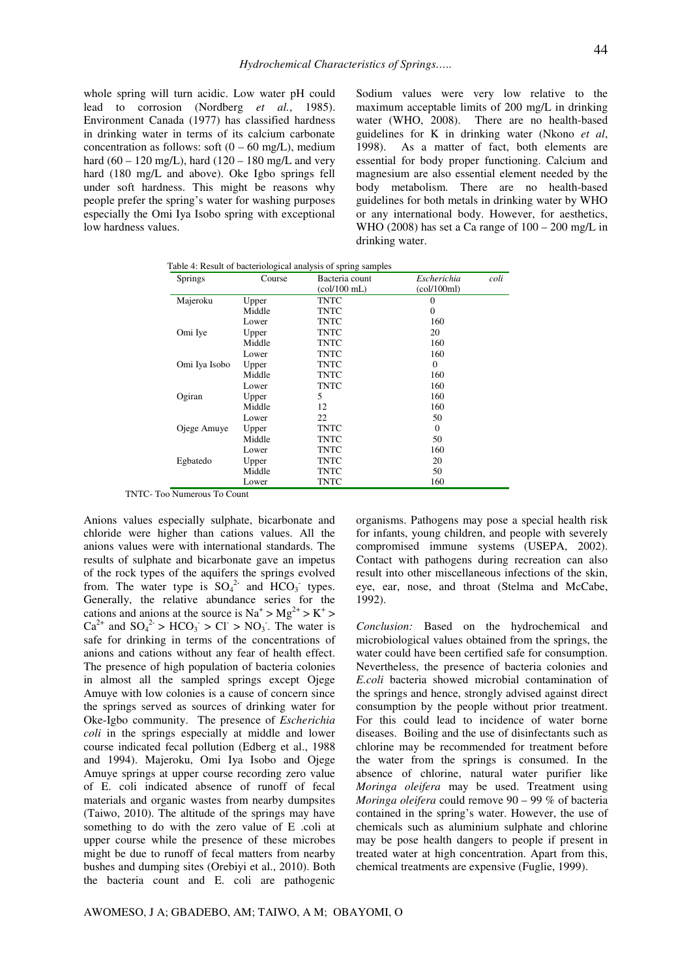whole spring will turn acidic. Low water pH could lead to corrosion (Nordberg *et al.*, 1985). Environment Canada (1977) has classified hardness in drinking water in terms of its calcium carbonate concentration as follows: soft  $(0 - 60 \text{ mg/L})$ , medium hard (60 – 120 mg/L), hard (120 – 180 mg/L and very hard (180 mg/L and above). Oke Igbo springs fell under soft hardness. This might be reasons why people prefer the spring's water for washing purposes especially the Omi Iya Isobo spring with exceptional low hardness values.

Sodium values were very low relative to the maximum acceptable limits of 200 mg/L in drinking water (WHO, 2008). There are no health-based guidelines for K in drinking water (Nkono *et al*, 1998). As a matter of fact, both elements are essential for body proper functioning. Calcium and magnesium are also essential element needed by the body metabolism. There are no health-based guidelines for both metals in drinking water by WHO or any international body. However, for aesthetics, WHO (2008) has set a Ca range of  $100 - 200$  mg/L in drinking water.

Table 4: Result of bacteriological analysis of spring samples

| Springs       | Course | Bacteria count                                   | Escherichia | coli |
|---------------|--------|--------------------------------------------------|-------------|------|
|               |        | $\left(\frac{\text{col}}{100 \text{ mL}}\right)$ | (col/100ml) |      |
| Majeroku      | Upper  | TNTC                                             | $\Omega$    |      |
|               | Middle | <b>TNTC</b>                                      | $\Omega$    |      |
|               | Lower  | <b>TNTC</b>                                      | 160         |      |
| Omi Iye       | Upper  | TNTC                                             | 20          |      |
|               | Middle | <b>TNTC</b>                                      | 160         |      |
|               | Lower  | <b>TNTC</b>                                      | 160         |      |
| Omi Iya Isobo | Upper  | <b>TNTC</b>                                      | $\Omega$    |      |
|               | Middle | TNTC                                             | 160         |      |
|               | Lower  | <b>TNTC</b>                                      | 160         |      |
| Ogiran        | Upper  | 5                                                | 160         |      |
|               | Middle | 12                                               | 160         |      |
|               | Lower  | 22                                               | 50          |      |
| Ojege Amuye   | Upper  | TNTC                                             | $\Omega$    |      |
|               | Middle | TNTC                                             | 50          |      |
|               | Lower  | TNTC                                             | 160         |      |
| Egbatedo      | Upper  | <b>TNTC</b>                                      | 20          |      |
|               | Middle | <b>TNTC</b>                                      | 50          |      |
|               | Lower  | TNTC                                             | 160         |      |

TNTC- Too Numerous To Count

Anions values especially sulphate, bicarbonate and chloride were higher than cations values. All the anions values were with international standards. The results of sulphate and bicarbonate gave an impetus of the rock types of the aquifers the springs evolved from. The water type is  $SO_4^2$  and  $HCO_3$  types. Generally, the relative abundance series for the cations and anions at the source is  $Na^+ > Mg^{2+} > K^+ >$  $Ca^{2+}$  and  $SO_4^{2-} > HCO_3$  > Cl<sup>-</sup> > NO<sub>3</sub>. The water is safe for drinking in terms of the concentrations of anions and cations without any fear of health effect. The presence of high population of bacteria colonies in almost all the sampled springs except Ojege Amuye with low colonies is a cause of concern since the springs served as sources of drinking water for Oke-Igbo community. The presence of *Escherichia coli* in the springs especially at middle and lower course indicated fecal pollution (Edberg et al., 1988 and 1994). Majeroku, Omi Iya Isobo and Ojege Amuye springs at upper course recording zero value of E. coli indicated absence of runoff of fecal materials and organic wastes from nearby dumpsites (Taiwo, 2010). The altitude of the springs may have something to do with the zero value of E .coli at upper course while the presence of these microbes might be due to runoff of fecal matters from nearby bushes and dumping sites (Orebiyi et al., 2010). Both the bacteria count and E. coli are pathogenic

organisms. Pathogens may pose a special health risk for infants, young children, and people with severely compromised immune systems (USEPA, 2002). Contact with pathogens during recreation can also result into other miscellaneous infections of the skin, eye, ear, nose, and throat (Stelma and McCabe, 1992).

*Conclusion:* Based on the hydrochemical and microbiological values obtained from the springs, the water could have been certified safe for consumption. Nevertheless, the presence of bacteria colonies and *E.coli* bacteria showed microbial contamination of the springs and hence, strongly advised against direct consumption by the people without prior treatment. For this could lead to incidence of water borne diseases. Boiling and the use of disinfectants such as chlorine may be recommended for treatment before the water from the springs is consumed. In the absence of chlorine, natural water purifier like *Moringa oleifera* may be used. Treatment using *Moringa oleifera* could remove 90 – 99 % of bacteria contained in the spring's water. However, the use of chemicals such as aluminium sulphate and chlorine may be pose health dangers to people if present in treated water at high concentration. Apart from this, chemical treatments are expensive (Fuglie, 1999).